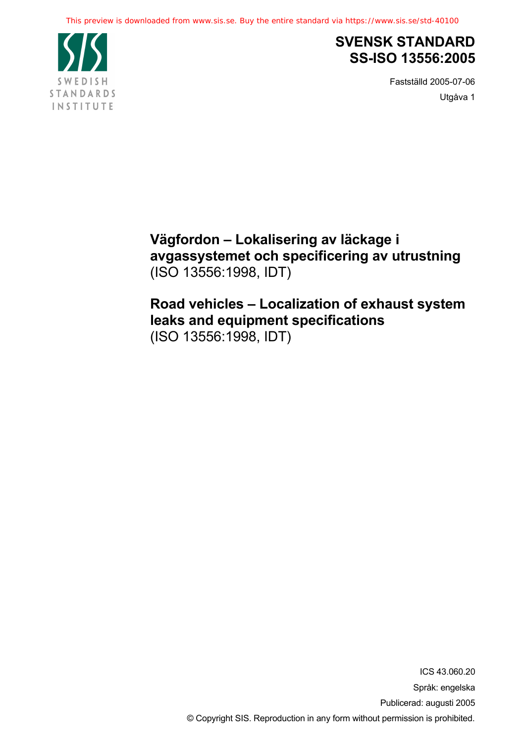

# **SVENSK STANDARD SS-ISO 13556:2005**

Fastställd 2005-07-06 Utgåva 1

# **Vägfordon – Lokalisering av läckage i avgassystemet och specificering av utrustning** (ISO 13556:1998, IDT)

# **Road vehicles – Localization of exhaust system leaks and equipment specifications** (ISO 13556:1998, IDT)

ICS 43.060.20 Språk: engelska Publicerad: augusti 2005 © Copyright SIS. Reproduction in any form without permission is prohibited.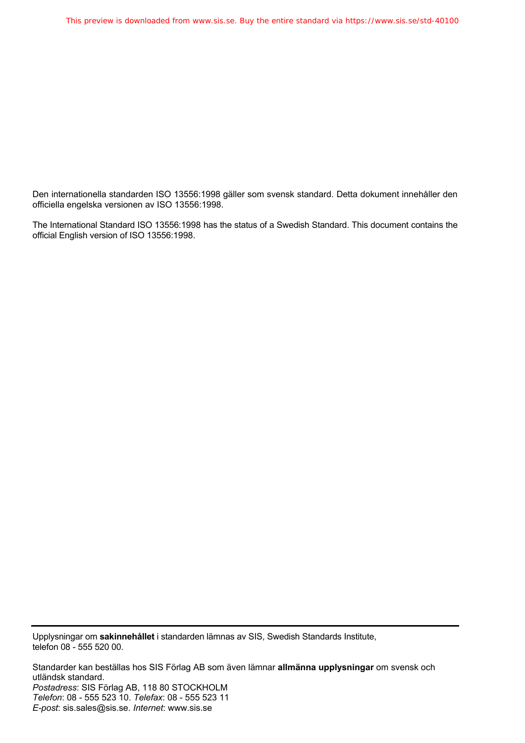Den internationella standarden ISO 13556:1998 gäller som svensk standard. Detta dokument innehåller den officiella engelska versionen av ISO 13556:1998.

The International Standard ISO 13556:1998 has the status of a Swedish Standard. This document contains the official English version of ISO 13556:1998.

Upplysningar om **sakinnehållet** i standarden lämnas av SIS, Swedish Standards Institute, telefon 08 - 555 520 00.

Standarder kan beställas hos SIS Förlag AB som även lämnar **allmänna upplysningar** om svensk och utländsk standard. *Postadress*: SIS Förlag AB, 118 80 STOCKHOLM *Telefon*: 08 - 555 523 10. *Telefax*: 08 - 555 523 11 *E-post*: sis.sales@sis.se. *Internet*: www.sis.se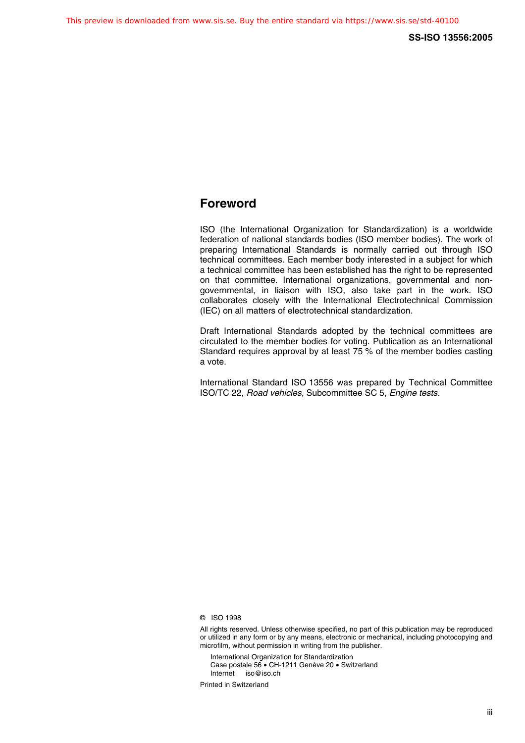# **Foreword**

ISO (the International Organization for Standardization) is a worldwide federation of national standards bodies (ISO member bodies). The work of preparing International Standards is normally carried out through ISO technical committees. Each member body interested in a subject for which a technical committee has been established has the right to be represented on that committee. International organizations, governmental and nongovernmental, in liaison with ISO, also take part in the work. ISO collaborates closely with the International Electrotechnical Commission (IEC) on all matters of electrotechnical standardization.

Draft International Standards adopted by the technical committees are circulated to the member bodies for voting. Publication as an International Standard requires approval by at least 75 % of the member bodies casting a vote.

International Standard ISO 13556 was prepared by Technical Committee ISO/TC 22, Road vehicles, Subcommittee SC 5, Engine tests.

© ISO 1998

All rights reserved. Unless otherwise specified, no part of this publication may be reproduced or utilized in any form or by any means, electronic or mechanical, including photocopying and microfilm, without permission in writing from the publisher.

International Organization for Standardization Case postale 56 • CH-1211 Genève 20 • Switzerland Internet iso@iso.ch Printed in Switzerland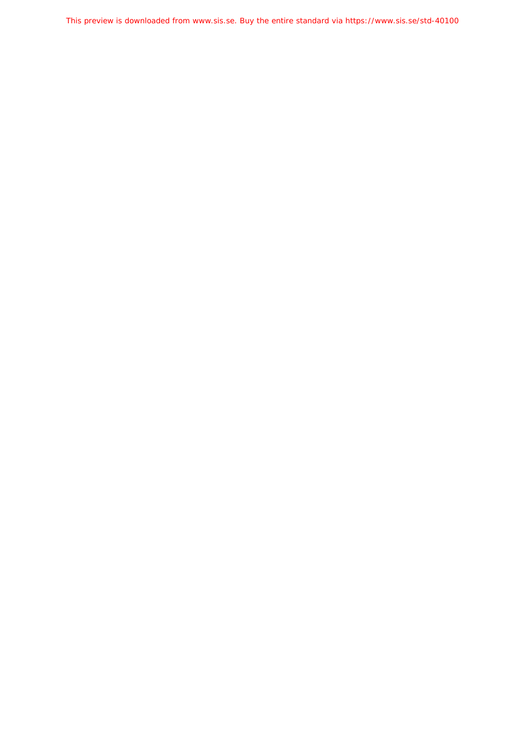This preview is downloaded from www.sis.se. Buy the entire standard via https://www.sis.se/std-40100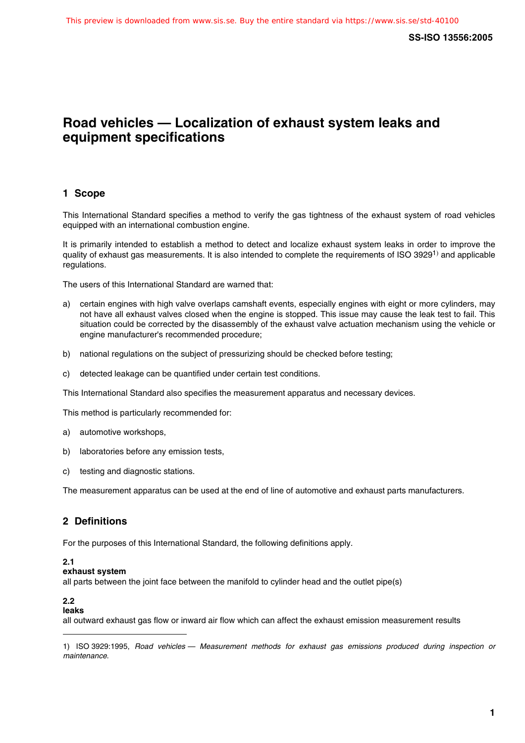# **Road vehicles — Localization of exhaust system leaks and equipment specifications**

## **1 Scope**

This International Standard specifies a method to verify the gas tightness of the exhaust system of road vehicles equipped with an international combustion engine.

It is primarily intended to establish a method to detect and localize exhaust system leaks in order to improve the quality of exhaust gas measurements. It is also intended to complete the requirements of ISO 3929<sup>1)</sup> and applicable regulations.

The users of this International Standard are warned that:

- a) certain engines with high valve overlaps camshaft events, especially engines with eight or more cylinders, may not have all exhaust valves closed when the engine is stopped. This issue may cause the leak test to fail. This situation could be corrected by the disassembly of the exhaust valve actuation mechanism using the vehicle or engine manufacturer's recommended procedure;
- b) national regulations on the subject of pressurizing should be checked before testing;
- c) detected leakage can be quantified under certain test conditions.

This International Standard also specifies the measurement apparatus and necessary devices.

This method is particularly recommended for:

- a) automotive workshops,
- b) laboratories before any emission tests,
- c) testing and diagnostic stations.

The measurement apparatus can be used at the end of line of automotive and exhaust parts manufacturers.

## **2 Definitions**

For the purposes of this International Standard, the following definitions apply.

### **2.1**

**exhaust system**

all parts between the joint face between the manifold to cylinder head and the outlet pipe(s)

### **2.2**

**leaks**

all outward exhaust gas flow or inward air flow which can affect the exhaust emission measurement results

1) ISO 3929:1995, Road vehicles — Measurement methods for exhaust gas emissions produced during inspection or maintenance.